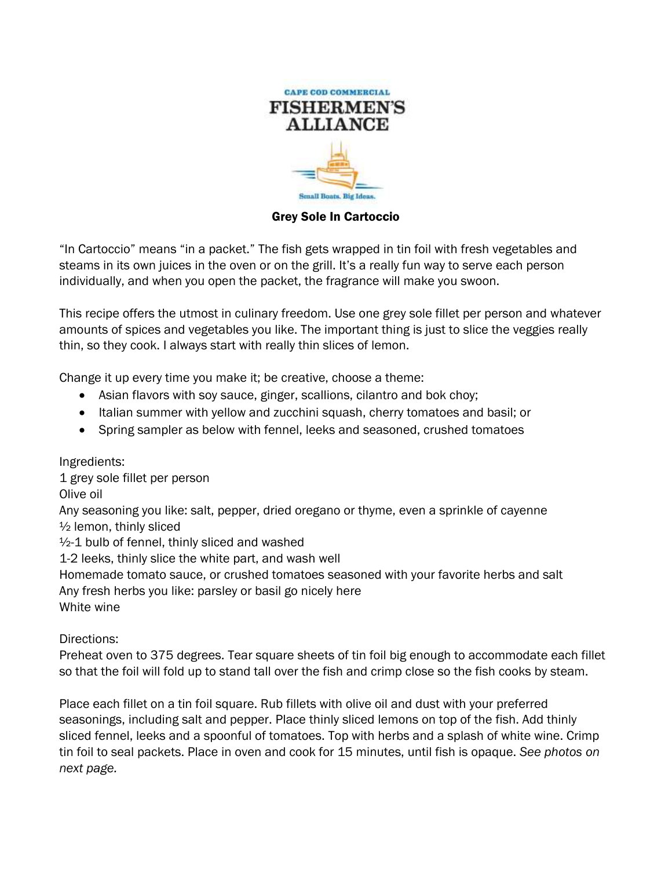

Grey Sole In Cartoccio

"In Cartoccio" means "in a packet." The fish gets wrapped in tin foil with fresh vegetables and steams in its own juices in the oven or on the grill. It's a really fun way to serve each person individually, and when you open the packet, the fragrance will make you swoon.

This recipe offers the utmost in culinary freedom. Use one grey sole fillet per person and whatever amounts of spices and vegetables you like. The important thing is just to slice the veggies really thin, so they cook. I always start with really thin slices of lemon.

Change it up every time you make it; be creative, choose a theme:

- Asian flavors with soy sauce, ginger, scallions, cilantro and bok choy;
- Italian summer with yellow and zucchini squash, cherry tomatoes and basil; or
- Spring sampler as below with fennel, leeks and seasoned, crushed tomatoes

Ingredients:

1 grey sole fillet per person

Olive oil

Any seasoning you like: salt, pepper, dried oregano or thyme, even a sprinkle of cayenne ½ lemon, thinly sliced

 $\frac{1}{2}$ -1 bulb of fennel, thinly sliced and washed

1-2 leeks, thinly slice the white part, and wash well

Homemade tomato sauce, or crushed tomatoes seasoned with your favorite herbs and salt

Any fresh herbs you like: parsley or basil go nicely here

White wine

Directions:

Preheat oven to 375 degrees. Tear square sheets of tin foil big enough to accommodate each fillet so that the foil will fold up to stand tall over the fish and crimp close so the fish cooks by steam.

Place each fillet on a tin foil square. Rub fillets with olive oil and dust with your preferred seasonings, including salt and pepper. Place thinly sliced lemons on top of the fish. Add thinly sliced fennel, leeks and a spoonful of tomatoes. Top with herbs and a splash of white wine. Crimp tin foil to seal packets. Place in oven and cook for 15 minutes, until fish is opaque. *See photos on next page.*